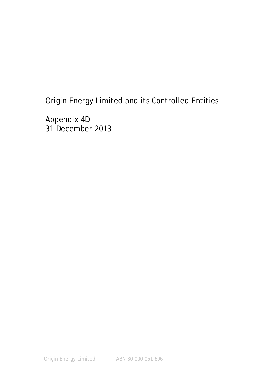Appendix 4D 31 December 2013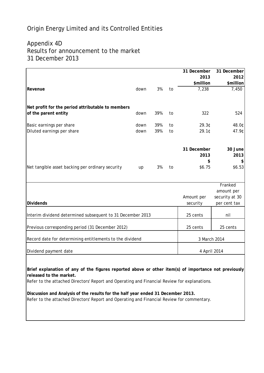# Appendix 4D Results for announcement to the market 31 December 2013

|                                                            |      |     |    | 31 December  | 31 December    |
|------------------------------------------------------------|------|-----|----|--------------|----------------|
|                                                            |      |     |    | 2013         | 2012           |
|                                                            |      |     |    | \$million    | \$million      |
| Revenue                                                    | down | 3%  | to | 7,238        | 7,450          |
|                                                            |      |     |    |              |                |
| Net profit for the period attributable to members          |      |     |    |              |                |
| of the parent entity                                       | down | 39% | to | 322          | 524            |
| Basic earnings per share                                   | down | 39% | to | 29.3¢        | 48.0¢          |
| Diluted earnings per share                                 | down | 39% | to | 29.10        | 47.9¢          |
|                                                            |      |     |    |              |                |
|                                                            |      |     |    | 31 December  | 30 June        |
|                                                            |      |     |    | 2013         | 2013           |
|                                                            |      |     |    | \$           | \$             |
| Net tangible asset backing per ordinary security           | up   | 3%  | to | \$6.75       | \$6.53         |
|                                                            |      |     |    |              | Franked        |
|                                                            |      |     |    |              | amount per     |
|                                                            |      |     |    | Amount per   | security at 30 |
| <b>Dividends</b>                                           |      |     |    | security     | per cent tax   |
| Interim dividend determined subsequent to 31 December 2013 |      |     |    | 25 cents     | nil            |
| Previous corresponding period (31 December 2012)           |      |     |    | 25 cents     | 25 cents       |
|                                                            |      |     |    |              |                |
| Record date for determining entitlements to the dividend   |      |     |    | 3 March 2014 |                |
| Dividend payment date                                      |      |     |    | 4 April 2014 |                |
|                                                            |      |     |    |              |                |

**Brief explanation of any of the figures reported above or other item(s) of importance not previously released to the market.**

Refer to the attached Directors' Report and Operating and Financial Review for explanations.

**Discussion and Analysis of the results for the half year ended 31 December 2013.** Refer to the attached Directors' Report and Operating and Financial Review for commentary.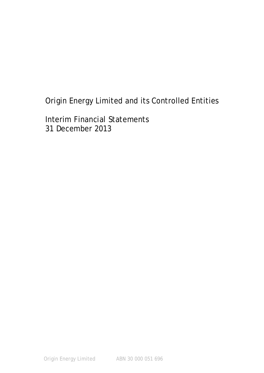Interim Financial Statements 31 December 2013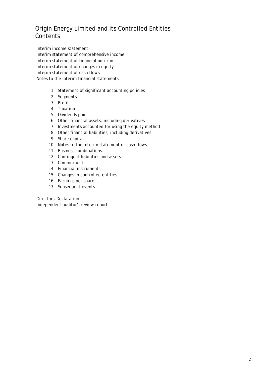Interim income statement Interim statement of comprehensive income Interim statement of financial position Interim statement of changes in equity Interim statement of cash flows Notes to the interim financial statements

- 1 Statement of significant accounting policies
- 2 Segments
- 3 Profit
- 4 Taxation
- 5 Dividends paid
- 6 Other financial assets, including derivatives
- 7 Investments accounted for using the equity method
- 8 Other financial liabilities, including derivatives
- 9 Share capital
- 10 Notes to the interim statement of cash flows
- 11 Business combinations
- 12 Contingent liabilities and assets
- 13 Commitments
- 14 Financial instruments
- 15 Changes in controlled entities
- 16 Earnings per share
- 17 Subsequent events

Directors' Declaration Independent auditor's review report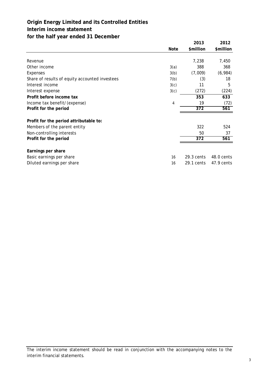# **Origin Energy Limited and its Controlled Entities Interim income statement for the half year ended 31 December**

|                                                |             | 2013         | 2012       |
|------------------------------------------------|-------------|--------------|------------|
|                                                | <b>Note</b> | \$million    | \$million  |
|                                                |             |              |            |
| Revenue                                        |             | 7,238        | 7,450      |
| Other income                                   | 3(a)        | 388          | 368        |
| Expenses                                       | 3(b)        | (7,009)      | (6,984)    |
| Share of results of equity accounted investees | 7(b)        | (3)          | 18         |
| Interest income                                | 3(c)        | 11           | 5          |
| Interest expense                               | 3(c)        | (272)        | (224)      |
| Profit before income tax                       |             | 353          | 633        |
| Income tax benefit/(expense)                   | 4           | 19           | (72)       |
| Profit for the period                          |             | 372          | 561        |
| Profit for the period attributable to:         |             |              |            |
| Members of the parent entity                   |             | 322          | 524        |
| Non-controlling interests                      |             | 50           | 37         |
| Profit for the period                          |             | 372          | 561        |
| Earnings per share                             |             |              |            |
| Basic earnings per share                       | 16          | $29.3$ cents | 48.0 cents |
| Diluted earnings per share                     | 16          | 29.1 cents   | 47.9 cents |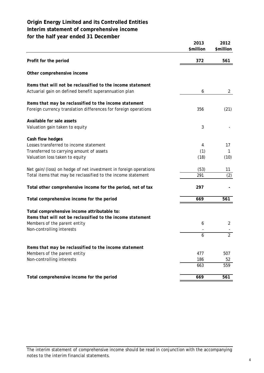# **Origin Energy Limited and its Controlled Entities Interim statement of comprehensive income for the half year ended 31 December**

**2013 2012 \$million \$million Profit for the period 372 561 Other comprehensive income** *Items that will not be reclassified to the income statement* Actuarial gain on defined benefit superannuation plan and the contract of the contract of the contract of the contract of the contract of the contract of the contract of the contract of the contract of the contract of the *Items that may be reclassified to the income statement* Foreign currency translation differences for foreign operations 356 356 (21) **Available for sale assets** Valuation gain taken to equity 3 **Cash flow hedges** Losses transferred to income statement 4 17 Transferred to carrying amount of assets (1) 1 Valuation loss taken to equity (10) (10) Net gain/(loss) on hedge of net investment in foreign operations (53) 11 Total items that may be reclassified to the income statement  $291$  (2) Total other comprehensive income for the period, net of tax **297** Total comprehensive income for the period **669** 669 **561 Total comprehensive income attributable to:** *Items that will not be reclassified to the income statement* Members of the parent entity 2 6 and 2 6 and 2 6 and 2  $\mu$ Non-controlling interests 2 6 *Items that may be reclassified to the income statement* Members of the parent entity 507 507 Non-controlling interests 52 559 663 Total comprehensive income for the period **669** 669 **561**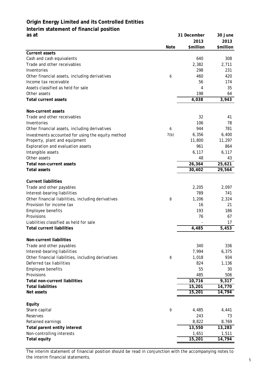# **Origin Energy Limited and its Controlled Entities Interim statement of financial position as at 31 December 30 June**

|                                                    |             | 2013                  | 2013      |
|----------------------------------------------------|-------------|-----------------------|-----------|
|                                                    | <b>Note</b> | \$million             | \$million |
| <b>Current assets</b>                              |             |                       |           |
| Cash and cash equivalents                          |             | 640                   | 308       |
| Trade and other receivables                        |             | 2,382                 | 2,711     |
| Inventories                                        |             | 298                   | 231       |
| Other financial assets, including derivatives      | 6           | 460                   | 420       |
| Income tax receivable                              |             | 56                    | 174       |
| Assets classified as held for sale<br>Other assets |             | 4<br>198              | 35<br>64  |
| <b>Total current assets</b>                        |             | 4,038                 | 3,943     |
|                                                    |             |                       |           |
| Non-current assets                                 |             |                       |           |
| Trade and other receivables                        |             | 32                    | 41        |
| Inventories                                        |             | 106                   | 78        |
| Other financial assets, including derivatives      | 6           | 944                   | 781       |
| Investments accounted for using the equity method  | 7(b)        | 6,356                 | 6,400     |
| Property, plant and equipment                      |             | 11,800                | 11,297    |
| Exploration and evaluation assets                  |             | 961                   | 864       |
| Intangible assets                                  |             | 6,117                 | 6,117     |
| Other assets                                       |             | 48                    | 43        |
| Total non-current assets                           |             | 26,364                | 25,621    |
| <b>Total assets</b>                                |             | 30,402                | 29,564    |
|                                                    |             |                       |           |
| <b>Current liabilities</b>                         |             |                       |           |
| Trade and other payables                           |             | 2,205                 | 2,097     |
| Interest-bearing liabilities                       |             | 789                   | 741       |
| Other financial liabilities, including derivatives | 8           | 1,206                 | 2,324     |
| Provision for income tax                           |             | 16                    | 21        |
| Employee benefits                                  |             | 193                   | 186       |
| Provisions                                         |             | 76                    | 67        |
| Liabilities classified as held for sale            |             |                       | 17        |
| <b>Total current liabilities</b>                   |             | 4,485                 | 5,453     |
| Non-current liabilities                            |             |                       |           |
| Trade and other payables                           |             | 340                   | 336       |
| Interest-bearing liabilities                       |             | 7,994                 | 6,375     |
| Other financial liabilities, including derivatives | 8           | 1,018                 | 934       |
| Deferred tax liabilities                           |             | 824                   | 1,136     |
| Employee benefits                                  |             | 55                    | 30        |
| Provisions                                         |             | 485                   | 506       |
| <b>Total non-current liabilities</b>               |             | 10,716                | 9,317     |
| <b>Total liabilities</b>                           |             | $\overline{15}$ , 201 | 14,770    |
| Net assets                                         |             | 15,201                | 14,794    |
|                                                    |             |                       |           |
| Equity                                             |             |                       |           |
| Share capital                                      | 9           | 4,485                 | 4,441     |
| Reserves                                           |             | 243                   | 73        |
| Retained earnings                                  |             | 8,822                 | 8,769     |
| Total parent entity interest                       |             | 13,550                | 13,283    |
| Non-controlling interests                          |             | 1,651                 | 1,511     |
| <b>Total equity</b>                                |             | 15,201                | 14,794    |

The interim statement of financial position should be read in conjunction with the accompanying notes to the interim financial statements. 5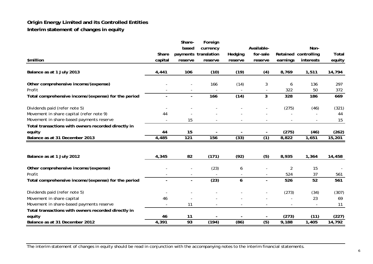# **Origin Energy Limited and its Controlled Entities Interim statement of changes in equit y**

|                                                     |                | Share-         | Foreign              |         |                          |                |                          |        |
|-----------------------------------------------------|----------------|----------------|----------------------|---------|--------------------------|----------------|--------------------------|--------|
|                                                     |                | based          | currency             |         | Available-               |                | Non-                     |        |
|                                                     | Share          |                | payments translation | Hedging | for-sale                 |                | Retained controlling     | Total  |
| \$million                                           | capital        | reserve        | reserve              | reserve | reserve                  | earnings       | interests                | equity |
| Balance as at 1 July 2013                           | 4,441          | 106            | (10)                 | (19)    | (4)                      | 8,769          | 1,511                    | 14,794 |
| Other comprehensive income/(expense)                |                |                | 166                  | (14)    | 3                        | 6              | 136                      | 297    |
| Profit                                              |                |                |                      |         |                          | 322            | 50                       | 372    |
| Total comprehensive income/(expense) for the period | $\overline{a}$ | $\blacksquare$ | 166                  | (14)    | $\overline{3}$           | 328            | 186                      | 669    |
| Dividends paid (refer note 5)                       |                |                |                      |         |                          | (275)          | (46)                     | (321)  |
| Movement in share capital (refer note 9)            | 44             |                |                      |         |                          |                |                          | 44     |
| Movement in share-based payments reserve            |                | 15             |                      |         |                          |                | $\overline{\phantom{a}}$ | 15     |
| Total transactions with owners recorded directly in |                |                |                      |         |                          |                |                          |        |
| equity                                              | 44             | 15             |                      |         |                          | (275)          | (46)                     | (262)  |
| Balance as at 31 December 2013                      | 4,485          | 121            | 156                  | (33)    | (1)                      | 8,822          | 1,651                    | 15,201 |
|                                                     |                |                |                      |         |                          |                |                          |        |
| Balance as at 1 July 2012                           | 4,345          | 82             | (171)                | (92)    | (5)                      | 8,935          | 1,364                    | 14,458 |
| Other comprehensive income/(expense)                |                |                | (23)                 | 6       |                          | $\overline{2}$ | 15                       |        |
| Profit                                              |                |                |                      |         | $\overline{\phantom{a}}$ | 524            | 37                       | 561    |
| Total comprehensive income/(expense) for the period |                |                | (23)                 | 6       | $\mathbf{r}$             | 526            | 52                       | 561    |
| Dividends paid (refer note 5)                       |                |                |                      |         |                          | (273)          | (34)                     | (307)  |
| Movement in share capital                           | 46             |                |                      |         |                          |                | 23                       | 69     |
| Movement in share-based payments reserve            |                | 11             |                      |         |                          |                |                          | 11     |
| Total transactions with owners recorded directly in |                |                |                      |         |                          |                |                          |        |
| equity                                              | 46             | 11             |                      |         |                          | (273)          | (11)                     | (227)  |
| Balance as at 31 December 2012                      | 4,391          | 93             | (194)                | (86)    | $\overline{(5)}$         | 9,188          | 1,405                    | 14,792 |

The interim statement of changes in equity should be read in conjunction with the accompanying notes to the interim financial statements.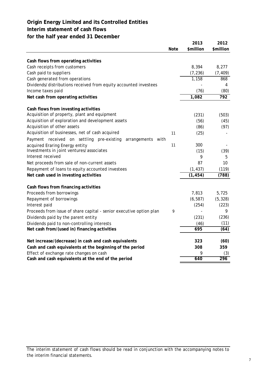**Interim statement of cash flows**

# **for the half year ended 31 December**

|                                                                     | <b>Note</b> | 2013<br>\$million | 2012<br>\$million |
|---------------------------------------------------------------------|-------------|-------------------|-------------------|
|                                                                     |             |                   |                   |
| Cash flows from operating activities                                |             |                   |                   |
| Cash receipts from customers                                        |             | 8,394             | 8,277             |
| Cash paid to suppliers                                              |             | (7, 236)          | (7, 409)          |
| Cash generated from operations                                      |             | 1,158             | 868               |
| Dividends/distributions received from equity accounted investees    |             |                   | 4                 |
| Income taxes paid                                                   |             | (76)              | (80)              |
| Net cash from operating activities                                  |             | 1,082             | $\overline{792}$  |
| Cash flows from investing activities                                |             |                   |                   |
| Acquisition of property, plant and equipment                        |             | (231)             | (503)             |
| Acquisition of exploration and development assets                   |             | (56)              | (45)              |
| Acquisition of other assets                                         |             | (86)              | (97)              |
| Acquisition of businesses, net of cash acquired                     | 11          | (25)              |                   |
| Payment received on settling pre-existing<br>arrangements<br>with   |             |                   |                   |
| acquired Eraring Energy entity                                      | 11          | 300               |                   |
| Investments in joint ventures/associates                            |             | (15)              | (39)              |
| Interest received                                                   |             | 9                 | 5                 |
| Net proceeds from sale of non-current assets                        |             | 87                | 10                |
| Repayment of loans to equity accounted investees                    |             | (1, 437)          | (119)             |
| Net cash used in investing activities                               |             | (1, 454)          | (788)             |
| Cash flows from financing activities                                |             |                   |                   |
| Proceeds from borrowings                                            |             | 7,813             | 5,725             |
| Repayment of borrowings                                             |             | (6, 587)          | (5, 328)          |
| Interest paid                                                       |             | (254)             | (223)             |
| Proceeds from issue of share capital - senior executive option plan | 9           |                   | 9                 |
| Dividends paid by the parent entity                                 |             | (231)             | (236)             |
| Dividends paid to non-controlling interests                         |             | (46)              | (11)              |
| Net cash from/(used in) financing activities                        |             | 695               | (64)              |
| Net increase/(decrease) in cash and cash equivalents                |             | 323               | (60)              |
| Cash and cash equivalents at the beginning of the period            |             | 308               | 359               |
| Effect of exchange rate changes on cash                             |             | 9                 | (3)               |
| Cash and cash equivalents at the end of the period                  |             | 640               | 296               |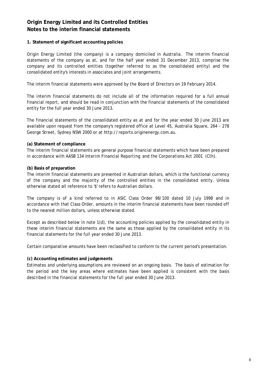### **1. Statement of significant accounting policies**

Origin Energy Limited (the company) is a company domiciled in Australia. The interim financial statements of the company as at, and for the half year ended 31 December 2013, comprise the company and its controlled entities (together referred to as the consolidated entity) and the consolidated entity's interests in associates and joint arrangements.

The interim financial statements were approved by the Board of Directors on 19 February 2014.

The interim financial statements do not include all of the information required for a full annual financial report, and should be read in conjunction with the financial statements of the consolidated entity for the full year ended 30 June 2013.

The financial statements of the consolidated entity as at and for the year ended 30 June 2013 are available upon request from the company's registered office at Level 45, Australia Square, 264 - 278 George Street, Sydney NSW 2000 or at http://reports.originenergy.com.au.

### **(a) Statement of compliance**

The interim financial statements are general purpose financial statements which have been prepared in accordance with AASB 134 *Interim Financial Reporting* and the *Corporations Act 2001* (Cth).

### **(b) Basis of preparation**

The interim financial statements are presented in Australian dollars, which is the functional currency of the company and the majority of the controlled entities in the consolidated entity. Unless otherwise stated all reference to '\$' refers to Australian dollars.

The company is of a kind referred to in ASIC Class Order 98/100 dated 10 July 1998 and in accordance with that Class Order, amounts in the interim financial statements have been rounded off to the nearest million dollars, unless otherwise stated.

Except as described below in note 1(d), the accounting policies applied by the consolidated entity in these interim financial statements are the same as those applied by the consolidated entity in its financial statements for the full year ended 30 June 2013.

Certain comparative amounts have been reclassified to conform to the current period's presentation.

# **(c) Accounting estimates and judgements**

Estimates and underlying assumptions are reviewed on an ongoing basis. The basis of estimation for the period and the key areas where estimates have been applied is consistent with the basis described in the financial statements for the full year ended 30 June 2013.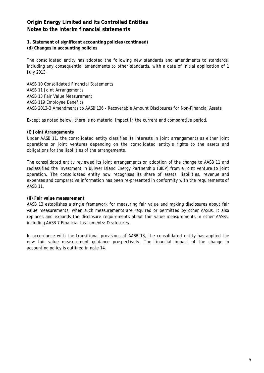**1. Statement of significant accounting policies (continued)**

### **(d) Changes in accounting policies**

The consolidated entity has adopted the following new standards and amendments to standards, including any consequential amendments to other standards, with a date of initial application of 1 July 2013.

AASB 10 *Consolidated Financial Statements* AASB 11 *Joint Arrangements*  AASB 13 *Fair Value Measurement*  AASB 119 *Employee Benefits* AASB 2013-3 *Amendments to AASB 136 - Recoverable Amount Disclosures for Non-Financial Assets*

Except as noted below, there is no material impact in the current and comparative period.

#### **(i) Joint Arrangements**

Under AASB 11, the consolidated entity classifies its interests in joint arrangements as either joint operations or joint ventures depending on the consolidated entity's rights to the assets and obligations for the liabilities of the arrangements.

The consolidated entity reviewed its joint arrangements on adoption of the change to AASB 11 and reclassified the investment in Bulwer Island Energy Partnership (BIEP) from a joint venture to joint operation. The consolidated entity now recognises its share of assets, liabilities, revenue and expenses and comparative information has been re-presented in conformity with the requirements of AASB 11.

#### **(ii) Fair value measurement**

AASB 13 establishes a single framework for measuring fair value and making disclosures about fair value measurements, when such measurements are required or permitted by other AASBs. It also replaces and expands the disclosure requirements about fair value measurements in other AASBs, including AASB 7 *Financial Instruments: Disclosures* .

In accordance with the transitional provisions of AASB 13, the consolidated entity has applied the new fair value measurement guidance prospectively. The financial impact of the change in accounting policy is outlined in note 14.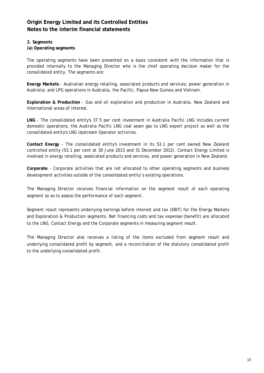### **2. Segments**

# **(a) Operating segments**

The operating segments have been presented on a basis consistent with the information that is provided internally to the Managing Director who is the chief operating decision maker for the consolidated entity. The segments are:

**Energy Markets** - Australian energy retailing, associated products and services; power generation in Australia; and LPG operations in Australia, the Pacific, Papua New Guinea and Vietnam.

**Exploration & Production** - Gas and oil exploration and production in Australia, New Zealand and International areas of interest.

**LNG** - The consolidated entity's 37.5 per cent investment in Australia Pacific LNG includes current domestic operations, the Australia Pacific LNG coal seam gas to LNG export project as well as the consolidated entity's LNG Upstream Operator activities.

**Contact Energy** - The consolidated entity's investment in its 53.1 per cent owned New Zealand controlled entity (53.1 per cent at 30 June 2013 and 31 December 2012). Contact Energy Limited is involved in energy retailing, associated products and services, and power generation in New Zealand.

**Corporate** - Corporate activities that are not allocated to other operating segments and business development activities outside of the consolidated entity's existing operations.

The Managing Director receives financial information on the segment result of each operating segment so as to assess the performance of each segment.

Segment result represents underlying earnings before interest and tax (EBIT) for the Energy Markets and Exploration & Production segments. Net financing costs and tax expense/(benefit) are allocated to the LNG, Contact Energy and the Corporate segments in measuring segment result.

The Managing Director also receives a listing of the items excluded from segment result and underlying consolidated profit by segment, and a reconciliation of the statutory consolidated profit to the underlying consolidated profit.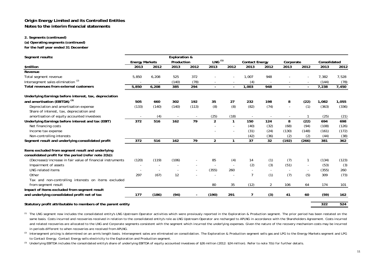#### **2. Segments (continued)**

**(a) Operating segments (continued)**

**for the half year ended 31 December**

| Segment results:                                           |                       |       | <b>Exploration &amp;</b> |       |                    |                          |                       |                  |                          |       |              |       |
|------------------------------------------------------------|-----------------------|-------|--------------------------|-------|--------------------|--------------------------|-----------------------|------------------|--------------------------|-------|--------------|-------|
|                                                            | <b>Energy Markets</b> |       | Production               |       | LNG <sup>(1)</sup> |                          | <b>Contact Energy</b> |                  | Corporate                |       | Consolidated |       |
| \$million                                                  | 2013                  | 2012  | 2013                     | 2012  | 2013               | 2012                     | 2013                  | 2012             | 2013                     | 2012  | 2013         | 2012  |
| Revenue                                                    |                       |       |                          |       |                    |                          |                       |                  |                          |       |              |       |
| Total segment revenue                                      | 5,850                 | 6,208 | 525                      | 372   |                    |                          | 1.007                 | 948              |                          |       | 7,382        | 7,528 |
| Intersegment sales elimination <sup>(2)</sup>              |                       |       | (140)                    | (78)  |                    |                          | (4)                   |                  |                          |       | (144)        | (78)  |
| Total revenues from external customers                     | 5,850                 | 6,208 | 385                      | 294   | $\blacksquare$     | $\blacksquare$           | 1,003                 | $\overline{948}$ |                          |       | 7,238        | 7,450 |
| Underlying Earnings before interest, tax, depreciation     |                       |       |                          |       |                    |                          |                       |                  |                          |       |              |       |
| and amortisation (EBITDA) <sup>(3)</sup>                   | 505                   | 660   | 302                      | 192   | 35                 | 27                       | 232                   | 198              | 8                        | (22)  | 1,082        | 1,055 |
| Depreciation and amortisation expense                      | (133)                 | (140) | (140)                    | (113) | (8)                | (8)                      | (82)                  | (74)             |                          | (1)   | (363)        | (336) |
| Share of interest, tax, depreciation and                   |                       |       |                          |       |                    |                          |                       |                  |                          |       |              |       |
| amortisation of equity accounted investees                 |                       | (4)   |                          |       | (25)               | (18)                     |                       |                  | $\overline{\phantom{a}}$ |       | (25)         | (21)  |
| Underlying Earnings before interest and tax (EBIT)         | 372                   | 516   | 162                      | 79    | $\overline{2}$     | $\mathbf{1}$             | 150                   | 124              | 8                        | (22)  | 694          | 698   |
| Net financing costs                                        |                       |       |                          |       |                    |                          | (40)                  | (32)             | (68)                     | (94)  | (108)        | (126) |
| Income tax expense                                         |                       |       |                          |       |                    |                          | (31)                  | (24)             | (130)                    | (148) | (161)        | (172) |
| Non-controlling interests                                  |                       |       |                          |       |                    |                          | (42)                  | (36)             | (2)                      | (2)   | (44)         | (38)  |
| Segment result and underlying consolidated profit          | 372                   | 516   | 162                      | 79    | $\overline{2}$     | 1                        | 37                    | 32               | (192)                    | (266) | 381          | 362   |
| Items excluded from segment result and underlying          |                       |       |                          |       |                    |                          |                       |                  |                          |       |              |       |
| consolidated profit for the period (refer note 2(b)):      |                       |       |                          |       |                    |                          |                       |                  |                          |       |              |       |
| (Decrease)/increase in fair value of financial instruments | (120)                 | (119) | (106)                    |       | 85                 | (4)                      | 14                    | (1)              | (7)                      |       | (134)        | (123) |
| Impairment of assets                                       |                       |       |                          |       |                    | $\overline{\phantom{a}}$ | (2)                   | (3)              | (51)                     |       | (53)         | (3)   |
| <b>LNG related items</b>                                   |                       |       |                          |       | (355)              | 260                      |                       |                  |                          |       | (355)        | 260   |
| Other                                                      | 297                   | (67)  | 12                       |       |                    | $\overline{\phantom{a}}$ | $\overline{7}$        | (1)              | (7)                      | (5)   | 309          | (73)  |
| Tax and non-controlling interests on items excluded        |                       |       |                          |       |                    |                          |                       |                  |                          |       |              |       |
| from segment result                                        |                       |       |                          |       | 80                 | 35                       | (12)                  | $\overline{2}$   | 106                      | 64    | 174          | 101   |
| Impact of items excluded from segment result               |                       |       |                          |       |                    |                          |                       |                  |                          |       |              |       |
| and underlying consolidated profit net of tax              | 177                   | (186) | (94)                     |       | (190)              | 291                      |                       | (3)              | 41                       | 60    | (59)         | 162   |

**Statutory profit attributable to members of the parent entity 322 524 524** 

 $^{(1)}$  The LNG segment now includes the consolidated entity's LNG Upstream Operator activities which were previously reported in the Exploration & Production segment. The prior period has been restated on the same basis. Costs incurred and recoveries received in relation to the consolidated entity's role as LNG Upstream Operator are recharged to APLNG in accordance with the Shareholders Agreement. Costs incurred and related recoveries are allocated to the LNG and Corporate segments consistent with the segment which incurred the underlying expenses. Given the nature of the recovery mechanism costs may be incurred *in periods different to when recoveries are received from APLNG.*

(2) Intersegment pricing is determined on an arm's length basis. Intersegment sales are eliminated on consolidation. The Exploration & Production segment sells gas and LPG to the Energy Markets segment and LPG *to Contact Energy. Contact Energy sells electricity to the Exploration and Production segment.*

*(3) Underlying EBITDA includes the consolidated entity's share of underlying EBITDA of equity accounted investees of \$26 million (2012: \$24 million). Refer to note 7(b) for further details.*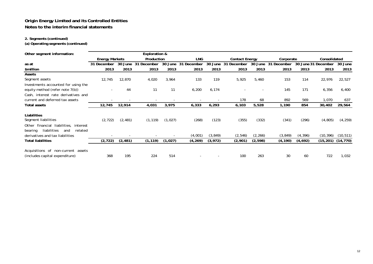### **2. Segments (continued)**

**(a) Operating segments (continued)**

| Other segment information:                                                                              |                       |          | <b>Exploration &amp;</b> |            |             |                      |                                    |                      |             |              |                     |           |
|---------------------------------------------------------------------------------------------------------|-----------------------|----------|--------------------------|------------|-------------|----------------------|------------------------------------|----------------------|-------------|--------------|---------------------|-----------|
|                                                                                                         | <b>Energy Markets</b> |          | Production               |            | <b>LNG</b>  |                      | <b>Contact Energy</b><br>Corporate |                      |             | Consolidated |                     |           |
| as at                                                                                                   | 31 December           | 30 June  | 31 December              | 30<br>June | 31 December | 30 June              | 31 December                        | 30 June              | 31 December |              | 30 June 31 December | 30 June   |
| \$million                                                                                               | 2013                  | 2013     | 2013                     | 2013       | 2013        | 2013                 | 2013                               | 2013                 | 2013        | 2013         | 2013                | 2013      |
| Assets                                                                                                  |                       |          |                          |            |             |                      |                                    |                      |             |              |                     |           |
| Segment assets                                                                                          | 12,745                | 12,870   | 4,020                    | 3,964      | 133         | 119                  | 5,925                              | 5,460                | 153         | 114          | 22,976              | 22,527    |
| Investments accounted for using the                                                                     |                       |          |                          |            |             |                      |                                    |                      |             |              |                     |           |
| equity method (refer note 7(b))                                                                         |                       | 44       | 11                       | 11         | 6,200       | 6,174                |                                    |                      | 145         | 171          | 6,356               | 6,400     |
| Cash, interest rate derivatives and                                                                     |                       |          |                          |            |             |                      |                                    |                      |             |              |                     |           |
| current and deferred tax assets                                                                         |                       |          |                          |            |             |                      | 178                                | 68                   | 892         | 569          | 1,070               | 637       |
| <b>Total assets</b>                                                                                     | 12,745                | 12,914   | 4,031                    | 3,975      | 6,333       | 6,293                | 6,103                              | 5,528                | 1,190       | 854          | 30,402              | 29,564    |
| Liabilities<br>Segment liabilities<br>financial liabilities,<br>Other<br>interest                       | (2, 722)              | (2, 481) | (1, 119)                 | (1,027)    | (268)       | (123)                | (355)                              | (332)                | (341)       | (296)        | (4, 805)            | (4, 259)  |
| liabilities<br>related<br>bearing<br>and<br>derivatives and tax liabilities<br><b>Total liabilities</b> | (2, 722)              | (2, 481) | (1, 119)                 | (1,027)    | (4,001)     | (3, 849)<br>(3, 972) | (2, 546)                           | (2, 266)<br>(2, 598) | (3, 849)    | (4, 396)     | (10,396)            | (10, 511) |
|                                                                                                         |                       |          |                          |            | (4, 269)    |                      | (2,901)                            |                      | (4, 190)    | (4,692)      | (15, 201)           | (14, 770) |
| Acquisitions of non-current assets<br>(includes capital expenditure)                                    | 368                   | 195      | 224                      | 514        |             |                      | 100                                | 263                  | 30          | 60           | 722                 | 1,032     |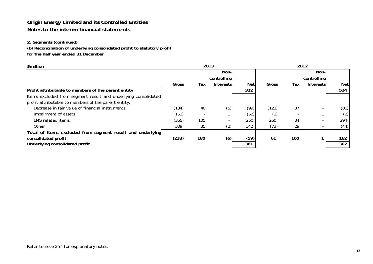# **2. Segments (continued)**

**(b) Reconciliation of underlying consolidated profit to statutory profit**

**for the half year ended 31 December**

| \$million                                                      |       | 2013 |                  | 2012       |       |     |                  |            |
|----------------------------------------------------------------|-------|------|------------------|------------|-------|-----|------------------|------------|
|                                                                |       |      | Non-             |            |       |     | Non-             |            |
|                                                                |       |      | controlling      |            |       |     | controlling      |            |
|                                                                | Gross | Tax  | <b>Interests</b> | <b>Net</b> | Gross | Tax | <b>Interests</b> | <b>Net</b> |
| Profit attributable to members of the parent entity            |       |      |                  | 322        |       |     |                  | 524        |
| Items excluded from segment result and underlying consolidated |       |      |                  |            |       |     |                  |            |
| profit attributable to members of the parent entity:           |       |      |                  |            |       |     |                  |            |
| Decrease in fair value of financial instruments                | (134) | 40   | (5)              | (99)       | (123) | 37  |                  | (86)       |
| Impairment of assets                                           | (53)  |      |                  | (52)       | (3)   |     |                  | (2)        |
| LNG related items                                              | (355) | 105  |                  | (250)      | 260   | 34  |                  | 294        |
| Other                                                          | 309   | 35   | (2)              | 342        | (73)  | 29  |                  | (44)       |
| Total of items excluded from segment result and underlying     |       |      |                  |            |       |     |                  |            |
| consolidated profit                                            | (233) | 180  | (6)              | (59)       | 61    | 100 |                  | 162        |
| Underlying consolidated profit                                 |       |      |                  | 381        |       |     |                  | 362        |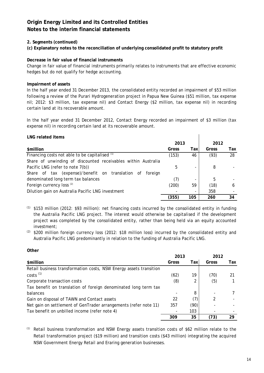# **2. Segments (continued)**

**(c) Explanatory notes to the reconciliation of underlying consolidated profit to statutory profit**

### **Decrease in fair value of financial instruments**

Change in fair value of financial instruments primarily relates to instruments that are effective economic hedges but do not qualify for hedge accounting.

### **Impairment of assets**

In the half year ended 31 December 2013, the consolidated entity recorded an impairment of \$53 million following a review of the Purari Hydrogeneration project in Papua New Guinea (\$51 million, tax expense nil; 2012: \$3 million, tax expense nil) and Contact Energy (\$2 million, tax expense nil) in recording certain land at its recoverable amount.

In the half year ended 31 December 2012, Contact Energy recorded an impairment of \$3 million (tax expense nil) in recording certain land at its recoverable amount.

| LNG related items                                                |       |      |       |     |  |
|------------------------------------------------------------------|-------|------|-------|-----|--|
|                                                                  | 2013  |      | 2012  |     |  |
| \$million                                                        | Gross | Taxl | Gross | Tax |  |
| Financing costs not able to be capitalised (1)                   | (153) | 46   | (93)  | 28  |  |
| Share of unwinding of discounted receivables within Australia    |       |      |       |     |  |
| Pacific LNG (refer to note 7(b))                                 | 5     |      | 8     |     |  |
| Share of tax (expense)/benefit on translation<br>- of<br>foreign |       |      |       |     |  |
| denominated long term tax balances                               | (7)   |      | 5     |     |  |
| Foreign currency loss <sup>(2)</sup>                             | (200) | 59   | (18)  | 6   |  |
| Dilution gain on Australia Pacific LNG investment                |       |      | 358   |     |  |
|                                                                  | (355) | 105  | 260   | 34  |  |

 $(1)$  \$153 million (2012: \$93 million): net financing costs incurred by the consolidated entity in funding the Australia Pacific LNG project. The interest would otherwise be capitalised if the development project was completed by the consolidated entity, rather than being held via an equity accounted investment;

 $(2)$  \$200 million foreign currency loss (2012: \$18 million loss) incurred by the consolidated entity and Australia Pacific LNG predominantly in relation to the funding of Australia Pacific LNG.

### **Other**

|                                                                    | 2013  |      | 2012  |     |
|--------------------------------------------------------------------|-------|------|-------|-----|
| \$million                                                          | Gross | Taxl | Gross | Tax |
| Retail business transformation costs, NSW Energy assets transition |       |      |       |     |
| $costs$ <sup>(1)</sup>                                             | (62)  | 19   | (70)  | 21  |
| Corporate transaction costs                                        | (8)   |      | (5)   |     |
| Tax benefit on translation of foreign denominated long term tax    |       |      |       |     |
| balances                                                           |       | 8    |       |     |
| Gain on disposal of TAWN and Contact assets                        | 22    | (7)  |       |     |
| Net gain on settlement of GenTrader arrangements (refer note 11)   | 357   | (90) |       |     |
| Tax benefit on unbilled income (refer note 4)                      |       | 103  |       |     |
|                                                                    | 309   | 35   | (73)  | 29  |

*(1)* Retail business transformation and NSW Energy assets transition costs of \$62 million relate to the Retail transformation project (\$19 million) and transition costs (\$43 million) integrating the acquired NSW Government Energy Retail and Eraring generation businesses.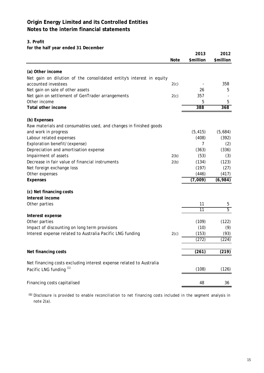### **3. Profit**

**for the half year ended 31 December**

|                                                                      | <b>Note</b> | 2013<br>\$million | 2012<br>\$million |
|----------------------------------------------------------------------|-------------|-------------------|-------------------|
| (a) Other income                                                     |             |                   |                   |
| Net gain on dilution of the consolidated entity's interest in equity |             |                   |                   |
| accounted investees                                                  | 2(c)        |                   | 358               |
| Net gain on sale of other assets                                     |             | 26                | 5                 |
| Net gain on settlement of GenTrader arrangements                     | 2(c)        | 357               |                   |
| Other income                                                         |             | 5                 | 5                 |
| Total other income                                                   |             | 388               | 368               |
| (b) Expenses                                                         |             |                   |                   |
| Raw materials and consumables used, and changes in finished goods    |             |                   |                   |
| and work in progress                                                 |             | (5, 415)          | (5,684)           |
| Labour related expenses                                              |             | (408)             | (392)             |
| Exploration benefit/(expense)                                        |             | 7                 | (2)               |
| Depreciation and amortisation expense                                |             | (363)             | (336)             |
| Impairment of assets                                                 | 2(b)        | (53)              | (3)               |
| Decrease in fair value of financial instruments                      | 2(b)        | (134)             | (123)             |
| Net foreign exchange loss                                            |             | (197)             | (27)              |
| Other expenses                                                       |             | (446)             | (417)             |
| <b>Expenses</b>                                                      |             | (7,009)           | (6,984)           |
| (c) Net financing costs                                              |             |                   |                   |
| Interest income                                                      |             |                   |                   |
| Other parties                                                        |             | 11                | 5                 |
|                                                                      |             | $\overline{11}$   | 5                 |
| Interest expense                                                     |             |                   |                   |
| Other parties                                                        |             | (109)             | (122)             |
| Impact of discounting on long term provisions                        |             | (10)              | (9)               |
| Interest expense related to Australia Pacific LNG funding            | 2(c)        | (153)             | (93)              |
|                                                                      |             | (272)             | (224)             |
| Net financing costs                                                  |             | (261)             | (219)             |
| Net financing costs excluding interest expense related to Australia  |             |                   |                   |
| Pacific LNG funding (1)                                              |             | (108)             | (126)             |
| Financing costs capitalised                                          |             | 48                | 36                |
|                                                                      |             |                   |                   |

 *(1) Disclosure is provided to enable reconciliation to net financing costs included in the segment analysis in note 2(a).*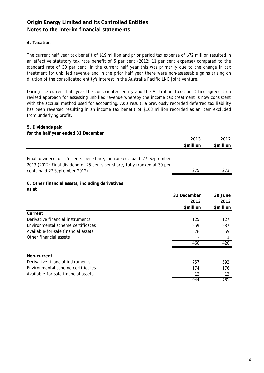# **4. Taxation**

The current half year tax benefit of \$19 million and prior period tax expense of \$72 million resulted in an effective statutory tax rate benefit of 5 per cent (2012: 11 per cent expense) compared to the standard rate of 30 per cent. In the current half year this was primarily due to the change in tax treatment for unbilled revenue and in the prior half year there were non-assessable gains arising on dilution of the consolidated entity's interest in the Australia Pacific LNG joint venture.

During the current half year the consolidated entity and the Australian Taxation Office agreed to a revised approach for assessing unbilled revenue whereby the income tax treatment is now consistent with the accrual method used for accounting. As a result, a previously recorded deferred tax liability has been reversed resulting in an income tax benefit of \$103 million recorded as an item excluded from underlying profit.

#### **5. Dividends paid**

| for the half year ended 31 December                                                                                                                                               |             |           |
|-----------------------------------------------------------------------------------------------------------------------------------------------------------------------------------|-------------|-----------|
|                                                                                                                                                                                   | 2013        | 2012      |
|                                                                                                                                                                                   | \$million   | \$million |
| Final dividend of 25 cents per share, unfranked, paid 27 September<br>2013 (2012: Final dividend of 25 cents per share, fully franked at 30 per<br>cent, paid 27 September 2012). | 275         | 273       |
|                                                                                                                                                                                   |             |           |
| 6. Other financial assets, including derivatives<br>as at                                                                                                                         |             |           |
|                                                                                                                                                                                   | 31 December | 30 June   |
|                                                                                                                                                                                   | 2013        | 2013      |
|                                                                                                                                                                                   | \$million   | \$million |
| Current                                                                                                                                                                           |             |           |
| Derivative financial instruments                                                                                                                                                  | 125         | 127       |
| Environmental scheme certificates                                                                                                                                                 | 259         | 237       |
| Available-for-sale financial assets                                                                                                                                               | 76          | 55        |
| Other financial assets                                                                                                                                                            |             | 1         |
|                                                                                                                                                                                   | 460         | 420       |
| Non-current                                                                                                                                                                       |             |           |
| Derivative financial instruments                                                                                                                                                  | 757         | 592       |
| Environmental scheme certificates                                                                                                                                                 | 174         | 176       |
| Available-for-sale financial assets                                                                                                                                               | 13          | 13        |
|                                                                                                                                                                                   | 944         | 781       |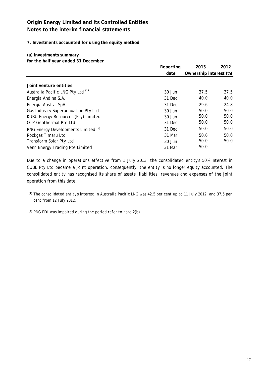**7. Investments accounted for using the equity method**

**(a) Investments summary**

**for the half year ended 31 December**

|                                                | Reporting | 2013                   | 2012 |  |
|------------------------------------------------|-----------|------------------------|------|--|
|                                                | date      | Ownership interest (%) |      |  |
|                                                |           |                        |      |  |
| Joint venture entities                         |           |                        |      |  |
| Australia Pacific LNG Pty Ltd <sup>(1)</sup>   | 30 Jun    | 37.5                   | 37.5 |  |
| Energia Andina S.A.                            | 31 Dec    | 40.0                   | 40.0 |  |
| Energia Austral SpA                            | 31 Dec    | 29.6                   | 24.8 |  |
| Gas Industry Superannuation Pty Ltd            | 30 Jun    | 50.0                   | 50.0 |  |
| <b>KUBU Energy Resources (Pty) Limited</b>     | 30 Jun    | 50.0                   | 50.0 |  |
| OTP Geothermal Pte Ltd                         | 31 Dec    | 50.0                   | 50.0 |  |
| PNG Energy Developments Limited <sup>(2)</sup> | 31 Dec    | 50.0                   | 50.0 |  |
| Rockgas Timaru Ltd                             | 31 Mar    | 50.0                   | 50.0 |  |
| Transform Solar Pty Ltd                        | 30 Jun    | 50.0                   | 50.0 |  |
| Venn Energy Trading Pte Limited                | 31 Mar    | 50.0                   |      |  |

Due to a change in operations effective from 1 July 2013, the consolidated entity's 50% interest in CUBE Pty Ltd became a joint operation, consequently, the entity is no longer equity accounted. The consolidated entity has recognised its share of assets, liabilities, revenues and expenses of the joint operation from this date.

- *(1) The consolidated entity's interest in Australia Pacific LNG was 42.5 per cent up to 11 July 2012, and 37.5 per cent from 12 July 2012.*
- *(2) PNG EDL was impaired during the period refer to note 2(b).*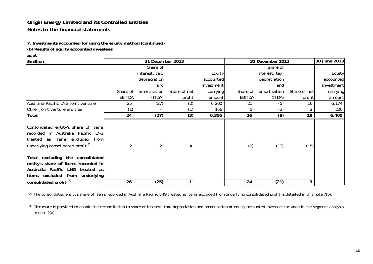**7. Investments accounted for using the equity method (continued)**

**(b) Results of equity accounted investees**

**as at**

| \$million                                                                                                                                                    |               | 31 December 2013 |              |            |               | 31 December 2012 |              | 30 June 2013 |
|--------------------------------------------------------------------------------------------------------------------------------------------------------------|---------------|------------------|--------------|------------|---------------|------------------|--------------|--------------|
|                                                                                                                                                              |               | Share of         |              |            |               | Share of         |              |              |
|                                                                                                                                                              |               | interest, tax,   |              | Equity     |               | interest, tax,   |              | Equity       |
|                                                                                                                                                              |               | depreciation     |              | accounted  |               | depreciation     |              | accounted    |
|                                                                                                                                                              |               | and              |              | investment |               | and              |              | investment   |
|                                                                                                                                                              | Share of      | amortisation     | Share of net | carrying   | Share of      | amortisation     | Share of net | carrying     |
|                                                                                                                                                              | <b>EBITDA</b> | (ITDA)           | profit       | amount     | <b>EBITDA</b> | (ITDA)           | profit       | amount       |
| Australia Pacific LNG joint venture                                                                                                                          | 25            | (27)             | (2)          | 6,200      | 21            | (5)              | 16           | 6,174        |
| Other joint venture entities                                                                                                                                 | (1)           |                  | (1)          | 156        | 5             | (3)              |              | 226          |
| Total                                                                                                                                                        | 24            | (27)             | (3)          | 6,356      | 26            | (8)              | 18           | 6,400        |
| Consolidated entity's share of items<br>recorded in Australia Pacific LNG<br>treated as items excluded from<br>underlying consolidated profit <sup>(1)</sup> | 2             | 2                | 4            |            | (2)           | (13)             | (15)         |              |
| Total excluding the consolidated<br>entity's share of items recorded in<br>Australia Pacific LNG treated as<br>items excluded from underlying                |               |                  |              |            |               |                  |              |              |
| consolidated profit <sup>(2)</sup>                                                                                                                           | 26            | (25)             |              |            | 24            | (21)             |              |              |

*(1) The consolidated entity's share of items recorded in Australia Pacific LNG treated as items excluded from underlying consolidated profit is detailed in this note 7(b).*

 $^{(2)}$  Disclosure is provided to enable the reconciliation to share of interest, tax, depreciation and amortisation of equity accounted investees included in the segment analysis *in note 2(a).*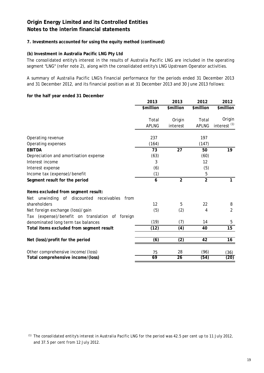# **7. Investments accounted for using the equity method (continued)**

# **(b) Investment in Australia Pacific LNG Pty Ltd**

The consolidated entity's interest in the results of Australia Pacific LNG are included in the operating segment "LNG" (refer note 2), along with the consolidated entity's LNG Upstream Operator activities.

A summary of Australia Pacific LNG's financial performance for the periods ended 31 December 2013 and 31 December 2012, and its financial position as at 31 December 2013 and 30 June 2013 follows:

#### **for the half year ended 31 December**

|                                                    | 2013         | 2013             | 2012           | 2012                    |
|----------------------------------------------------|--------------|------------------|----------------|-------------------------|
|                                                    | \$million    | \$million        | \$million      | \$million               |
|                                                    |              |                  |                |                         |
|                                                    | Total        | Origin           | Total          | Origin                  |
|                                                    | <b>APLNG</b> | interest         | <b>APLNG</b>   | interest <sup>(1)</sup> |
|                                                    |              |                  |                |                         |
| Operating revenue                                  | 237          |                  | 197            |                         |
| Operating expenses                                 | (164)        |                  | (147)          |                         |
| <b>EBITDA</b>                                      | 73           | 27               | 50             | 19                      |
| Depreciation and amortisation expense              | (63)         |                  | (60)           |                         |
| Interest income                                    | 3            |                  | 12             |                         |
| Interest expense                                   | (6)          |                  | (5)            |                         |
| Income tax (expense)/benefit                       | (1)          |                  | 5              |                         |
| Segment result for the period                      | 6            | $\overline{2}$   | $\overline{2}$ | 1                       |
| Items excluded from segment result:                |              |                  |                |                         |
| unwinding of discounted receivables<br>Net<br>from |              |                  |                |                         |
| shareholders                                       | 12           | 5                | 22             | 8                       |
| Net foreign exchange (loss)/gain                   | (5)          | (2)              | 4              | $\overline{2}$          |
| Tax (expense)/benefit on translation of foreign    |              |                  |                |                         |
| denominated long term tax balances                 | (19)         | (7)              | 14             | 5                       |
| Total items excluded from segment result           | (12)         | (4)              | 40             | 15                      |
| Net (loss)/profit for the period                   | (6)          | $\overline{(2)}$ | 42             | 16                      |
| Other comprehensive income/(loss)                  | 75           | 28               | (96)           | (36)                    |
| Total comprehensive income/(loss)                  | 69           | 26               | (54)           | (20)                    |

*(1) The consolidated entity's interest in Australia Pacific LNG for the period was 42.5 per cent up to 11 July 2012, and 37.5 per cent from 12 July 2012.*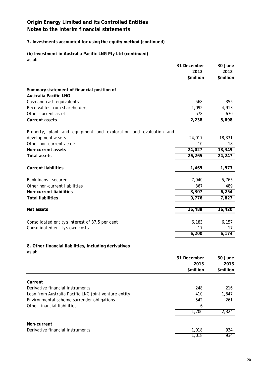# **7. Investments accounted for using the equity method (continued)**

**(b) Investment in Australia Pacific LNG Pty Ltd (continued) as at**

|                                                                  | 31 December | 30 June   |
|------------------------------------------------------------------|-------------|-----------|
|                                                                  | 2013        | 2013      |
|                                                                  | \$million   | \$million |
| Summary statement of financial position of                       |             |           |
| <b>Australia Pacific LNG</b>                                     |             |           |
| Cash and cash equivalents                                        | 568         | 355       |
| Receivables from shareholders                                    | 1,092       | 4,913     |
| Other current assets                                             | 578         | 630       |
| <b>Current assets</b>                                            | 2,238       | 5,898     |
|                                                                  |             |           |
| Property, plant and equipment and exploration and evaluation and |             |           |
| development assets                                               | 24,017      | 18,331    |
| Other non-current assets                                         | 10          | 18        |
| Non-current assets                                               | 24,027      | 18,349    |
| <b>Total assets</b>                                              | 26,265      | 24,247    |
|                                                                  |             |           |
| <b>Current liabilities</b>                                       | 1,469       | 1,573     |
|                                                                  |             |           |
| Bank loans - secured                                             | 7,940       | 5,765     |
| Other non-current liabilities                                    | 367         | 489       |
| Non-current liabilities                                          | 8,307       | 6,254     |
| <b>Total liabilities</b>                                         | 9,776       | 7,827     |
|                                                                  |             |           |
| Net assets                                                       | 16,489      | 16,420    |
| Consolidated entity's interest of 37.5 per cent                  | 6,183       | 6,157     |
| Consolidated entity's own costs                                  | 17          | 17        |
|                                                                  | 6,200       | 6,174     |
|                                                                  |             |           |
| 8. Other financial liabilities, including derivatives            |             |           |
| as at                                                            |             |           |
|                                                                  | 31 December | 30 June   |
|                                                                  | 2013        | 2013      |
|                                                                  | \$million   | \$million |
|                                                                  |             |           |
| Current                                                          |             |           |
| Derivative financial instruments                                 | 248         | 216       |
| Loan from Australia Pacific LNG joint venture entity             | 410         | 1,847     |
| Environmental scheme surrender obligations                       | 542         | 261       |
| Other financial liabilities                                      | 6           |           |
|                                                                  | 1,206       | 2,324     |
|                                                                  |             |           |
| Non-current                                                      |             |           |
| Derivative financial instruments                                 | 1,018       | 934       |
|                                                                  | 1,018       | 934       |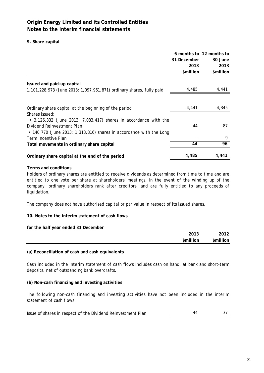**9. Share capital**

|                                                                                                                                                                         | 31 December<br>2013<br>\$million | 6 months to 12 months to<br>30 June<br>2013<br>\$million |
|-------------------------------------------------------------------------------------------------------------------------------------------------------------------------|----------------------------------|----------------------------------------------------------|
| Issued and paid-up capital                                                                                                                                              |                                  |                                                          |
| 1,101,228,973 (June 2013: 1,097,961,871) ordinary shares, fully paid                                                                                                    | 4,485                            | 4,441                                                    |
| Ordinary share capital at the beginning of the period<br>Shares issued:                                                                                                 | 4,441                            | 4,345                                                    |
| • $3,126,332$ (June 2013: 7,083,417) shares in accordance with the<br>Dividend Reinvestment Plan<br>• 140,770 (June 2013: 1,313,816) shares in accordance with the Long | 44                               | 87                                                       |
| Term Incentive Plan                                                                                                                                                     |                                  | 9                                                        |
| Total movements in ordinary share capital                                                                                                                               | 44                               | 96                                                       |
| Ordinary share capital at the end of the period                                                                                                                         | 4,485                            | 4,441                                                    |

### **Terms and conditions**

Holders of ordinary shares are entitled to receive dividends as determined from time to time and are entitled to one vote per share at shareholders' meetings. In the event of the winding up of the company, ordinary shareholders rank after creditors, and are fully entitled to any proceeds of liquidation.

The company does not have authorised capital or par value in respect of its issued shares.

# **10. Notes to the interim statement of cash flows**

**for the half year ended 31 December**

| 2013<br>\$million | 2012<br>12<br>\$million |
|-------------------|-------------------------|
|                   |                         |

### **(a) Reconciliation of cash and cash equivalents**

Cash included in the interim statement of cash flows includes cash on hand, at bank and short-term deposits, net of outstanding bank overdrafts.

#### **(b) Non-cash financing and investing activities**

The following non-cash financing and investing activities have not been included in the interim statement of cash flows:

Issue of shares in respect of the Dividend Reinvestment Plan 44 4 4 37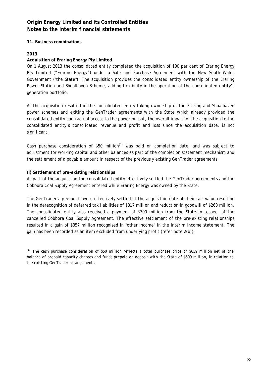### **11. Business combinations**

### **2013**

### **Acquisition of Eraring Energy Pty Limited**

On 1 August 2013 the consolidated entity completed the acquisition of 100 per cent of Eraring Energy Pty Limited ("Eraring Energy") under a Sale and Purchase Agreement with the New South Wales Government ("the State"). The acquisition provides the consolidated entity ownership of the Eraring Power Station and Shoalhaven Scheme, adding flexibility in the operation of the consolidated entity's generation portfolio.

As the acquisition resulted in the consolidated entity taking ownership of the Eraring and Shoalhaven power schemes and exiting the GenTrader agreements with the State which already provided the consolidated entity contractual access to the power output, the overall impact of the acquisition to the consolidated entity's consolidated revenue and profit and loss since the acquisition date, is not significant.

Cash purchase consideration of \$50 million<sup> $(1)$ </sup> was paid on completion date, and was subject to adjustment for working capital and other balances as part of the completion statement mechanism and the settlement of a payable amount in respect of the previously existing GenTrader agreements.

#### **(i) Settlement of pre-existing relationships**

As part of the acquisition the consolidated entity effectively settled the GenTrader agreements and the Cobbora Coal Supply Agreement entered while Eraring Energy was owned by the State.

The GenTrader agreements were effectively settled at the acquisition date at their fair value resulting in the derecognition of deferred tax liabilities of \$317 million and reduction in goodwill of \$260 million. The consolidated entity also received a payment of \$300 million from the State in respect of the cancelled Cobbora Coal Supply Agreement. The effective settlement of the pre-existing relationships resulted in a gain of \$357 million recognised in "other income" in the interim income statement. The gain has been recorded as an item excluded from underlying profit (refer note 2(b)).

*(1) The cash purchase consideration of \$50 million reflects a total purchase price of \$659 million net of the balance of prepaid capacity charges and funds prepaid on deposit with the State of \$609 million, in relation to the existing GenTrader arrangements.*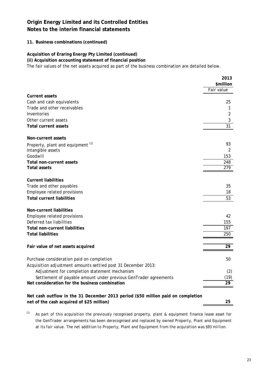# **11. Business combinations (continued)**

# **Acquisition of Eraring Energy Pty Limited (continued)**

**(ii) Acquisition accounting statement of financial position**

The fair values of the net assets acquired as part of the business combination are detailed below.

|                                                                                  | 2013       |
|----------------------------------------------------------------------------------|------------|
|                                                                                  | \$million  |
|                                                                                  | Fair value |
| <b>Current assets</b>                                                            |            |
| Cash and cash equivalents                                                        | 25         |
| Trade and other receivables                                                      | 1          |
| Inventories                                                                      | 2          |
| Other current assets                                                             | 3          |
| <b>Total current assets</b>                                                      | 31         |
|                                                                                  |            |
| Non-current assets                                                               |            |
| Property, plant and equipment <sup>(1)</sup>                                     | 93         |
| Intangible assets                                                                | 2          |
| Goodwill                                                                         | 153        |
| Total non-current assets                                                         | 248        |
| <b>Total assets</b>                                                              | 279        |
|                                                                                  |            |
| <b>Current liabilities</b>                                                       |            |
| Trade and other payables                                                         | 35         |
| Employee related provisions                                                      | 18         |
| <b>Total current liabilities</b>                                                 | 53         |
|                                                                                  |            |
| Non-current liabilities                                                          |            |
| Employee related provisions                                                      | 42         |
| Deferred tax liabilities                                                         | 155        |
| <b>Total non-current liabilities</b>                                             | 197        |
| <b>Total liabilities</b>                                                         | 250        |
|                                                                                  |            |
| Fair value of net assets acquired                                                | 29         |
|                                                                                  |            |
| Purchase consideration paid on completion                                        | 50         |
| Acquisition adjustment amounts settled post 31 December 2013:                    |            |
| Adjustment for completion statement mechanism                                    | (2)        |
| Settlement of payable amount under previous GenTrader agreements                 | (19)       |
| Net consideration for the business combination                                   | 29         |
|                                                                                  |            |
| Net cash outflow in the 31 December 2013 period (\$50 million paid on completion |            |
| net of the cash acquired of \$25 million)                                        | 25         |

(1) *As part of this acquisition the previously recognised property, plant & equipment finance lease asset for the GenTrader arrangements has been derecognised and replaced by owned Property, Plant and Equipment at its fair value. The net addition to Property, Plant and Equipment from the acquisition was \$93 million.*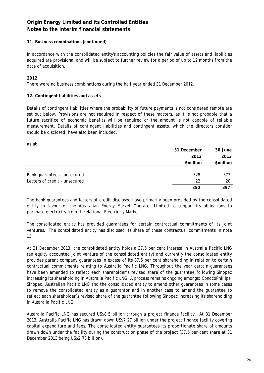# **11. Business combinations (continued)**

In accordance with the consolidated entity's accounting policies the fair value of assets and liabilities acquired are provisional and will be subject to further review for a period of up to 12 months from the date of acquisition.

# **2012**

There were no business combinations during the half year ended 31 December 2012.

### **12. Contingent liabilities and assets**

Details of contingent liabilities where the probability of future payments is not considered remote are set out below. Provisions are not required in respect of these matters, as it is not probable that a future sacrifice of economic benefits will be required or the amount is not capable of reliable measurement. Details of contingent liabilities and contingent assets, which the directors consider should be disclosed, have also been included.

**as at**

|                               | 31 December | 30 June   |
|-------------------------------|-------------|-----------|
|                               | 2013        | 2013      |
|                               | \$million   | \$million |
|                               |             |           |
| Bank guarantees - unsecured   | 328         | 377       |
| Letters of credit - unsecured | 22          | 20        |
|                               | 350         | 397       |

The bank guarantees and letters of credit disclosed have primarily been provided by the consolidated entity in favour of the Australian Energy Market Operator Limited to support its obligations to purchase electricity from the National Electricity Market.

The consolidated entity has provided guarantees for certain contractual commitments of its joint ventures. The consolidated entity has disclosed its share of these contractual commitments in note 13.

At 31 December 2013, the consolidated entity holds a 37.5 per cent interest in Australia Pacific LNG (an equity accounted joint venture of the consolidated entity) and currently the consolidated entity provides parent company guarantees in excess of its 37.5 per cent shareholding in relation to certain contractual commitments relating to Australia Pacific LNG. Throughout the year certain guarantees have been amended to reflect each shareholder's revised share of the guarantee following Sinopec increasing its shareholding in Australia Pacific LNG. A process remains ongoing amongst ConocoPhillips, Sinopec, Australian Pacific LNG and the consolidated entity to amend other guarantees in some cases to remove the consolidated entity as a guarantor and in another case to amend the guarantee to reflect each shareholder's revised share of the guarantee following Sinopec increasing its shareholding in Australia Pacific LNG.

Australia Pacific LNG has secured US\$8.5 billion through a project finance facility. At 31 December 2013, Australia Pacific LNG has drawn down US\$7.27 billion under the project finance facility covering capital expenditure and fees. The consolidated entity guarantees its proportionate share of amounts drawn down under the facility during the construction phase of the project (37.5 per cent share at 31 December 2013 being US\$2.73 billion).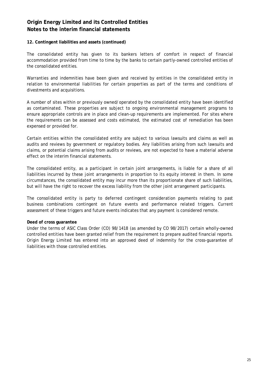### **12. Contingent liabilities and assets (continued)**

The consolidated entity has given to its bankers letters of comfort in respect of financial accommodation provided from time to time by the banks to certain partly-owned controlled entities of the consolidated entities.

Warranties and indemnities have been given and received by entities in the consolidated entity in relation to environmental liabilities for certain properties as part of the terms and conditions of divestments and acquisitions.

A number of sites within or previously owned/operated by the consolidated entity have been identified as contaminated. These properties are subject to ongoing environmental management programs to ensure appropriate controls are in place and clean-up requirements are implemented. For sites where the requirements can be assessed and costs estimated, the estimated cost of remediation has been expensed or provided for.

Certain entities within the consolidated entity are subject to various lawsuits and claims as well as audits and reviews by government or regulatory bodies. Any liabilities arising from such lawsuits and claims, or potential claims arising from audits or reviews, are not expected to have a material adverse effect on the interim financial statements.

The consolidated entity, as a participant in certain joint arrangements, is liable for a share of all liabilities incurred by these joint arrangements in proportion to its equity interest in them. In some circumstances, the consolidated entity may incur more than its proportionate share of such liabilities, but will have the right to recover the excess liability from the other joint arrangement participants.

The consolidated entity is party to deferred contingent consideration payments relating to past business combinations contingent on future events and performance related triggers. Current assessment of these triggers and future events indicates that any payment is considered remote.

# **Deed of cross guarantee**

Under the terms of ASIC Class Order (CO) 98/1418 (as amended by CO 98/2017) certain wholly-owned controlled entities have been granted relief from the requirement to prepare audited financial reports. Origin Energy Limited has entered into an approved deed of indemnity for the cross-guarantee of liabilities with those controlled entities.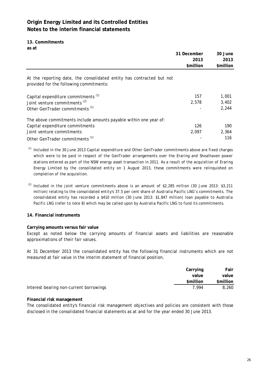**13. Commitments as at**

|                                                                                                                  | 31 December | 30 June   |
|------------------------------------------------------------------------------------------------------------------|-------------|-----------|
|                                                                                                                  | 2013        | 2013      |
|                                                                                                                  | \$million   | \$million |
| At the reporting date, the consolidated entity has contracted but not<br>provided for the following commitments: |             |           |
| Capital expenditure commitments <sup>(1)</sup>                                                                   | 157         | 1,001     |
| Joint venture commitments <sup>(2)</sup>                                                                         | 2.578       | 3.402     |
| Other GenTrader commitments <sup>(1)</sup>                                                                       |             | 2,244     |
| The above commitments include amounts payable within one year of:                                                |             |           |
| Capital expenditure commitments                                                                                  | 126         | 190       |
| Joint venture commitments                                                                                        | 2,097       | 2,364     |
| Other GenTrader commitments <sup>(1)</sup>                                                                       |             | 116       |

*(1) Included in the 30 June 2013 Capital expenditure and Other GenTrader commitments above are fixed charges which were to be paid in respect of the GenTrader arrangements over the Eraring and Shoalhaven power stations entered as part of the NSW energy asset transaction in 2011. As a result of the acquisition of Eraring Energy Limited by the consolidated entity on 1 August 2013, these commitments were relinquished on completion of the acquisition.*

*(2) Included in the joint venture commitments above is an amount of \$2,285 million (30 June 2013: \$3,211 million) relating to the consolidated entity's 37.5 per cent share of Australia Pacific LNG's commitments. The consolidated entity has recorded a \$410 million (30 June 2013: \$1,847 million) loan payable to Australia Pacific LNG (refer to note 8) which may be called upon by Australia Pacific LNG to fund its commitments.* 

# **14. Financial instruments**

# **Carrying amounts versus fair value**

Except as noted below the carrying amounts of financial assets and liabilities are reasonable approximations of their fair values.

At 31 December 2013 the consolidated entity has the following financial instruments which are not measured at fair value in the interim statement of financial position.

|                                         | Carrying<br>value | Fair<br>value |
|-----------------------------------------|-------------------|---------------|
|                                         | \$million         | \$million     |
| Interest bearing non-current borrowings | 7.994             | 8,260         |

#### **Financial risk management**

The consolidated entity's financial risk management objectives and policies are consistent with those disclosed in the consolidated financial statements as at and for the year ended 30 June 2013.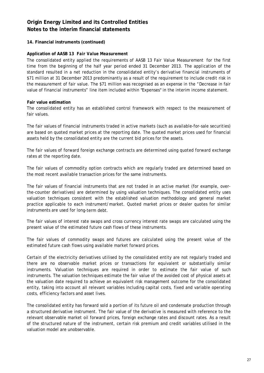### **14. Financial instruments (continued)**

### **Application of AASB 13** *Fair Value Measurement*

The consolidated entity applied the requirements of AASB 13 *Fair Value Measurement* for the first time from the beginning of the half year period ended 31 December 2013. The application of the standard resulted in a net reduction in the consolidated entity's derivative financial instruments of \$71 million at 31 December 2013 predominantly as a result of the requirement to include credit risk in the measurement of fair value. The \$71 million was recognised as an expense in the "Decrease in fair value of financial instruments" line item included within "Expenses" in the interim income statement.

### **Fair value estimation**

The consolidated entity has an established control framework with respect to the measurement of fair values.

The fair values of financial instruments traded in active markets (such as available-for-sale securities) are based on quoted market prices at the reporting date. The quoted market prices used for financial assets held by the consolidated entity are the current bid prices for the assets.

The fair values of forward foreign exchange contracts are determined using quoted forward exchange rates at the reporting date.

The fair values of commodity option contracts which are regularly traded are determined based on the most recent available transaction prices for the same instruments.

The fair values of financial instruments that are not traded in an active market (for example, overthe-counter derivatives) are determined by using valuation techniques. The consolidated entity uses valuation techniques consistent with the established valuation methodology and general market practice applicable to each instrument/market. Quoted market prices or dealer quotes for similar instruments are used for long-term debt.

The fair values of interest rate swaps and cross currency interest rate swaps are calculated using the present value of the estimated future cash flows of these instruments.

The fair values of commodity swaps and futures are calculated using the present value of the estimated future cash flows using available market forward prices.

Certain of the electricity derivatives utilised by the consolidated entity are not regularly traded and there are no observable market prices or transactions for equivalent or substantially similar instruments. Valuation techniques are required in order to estimate the fair value of such instruments. The valuation techniques estimate the fair value of the avoided cost of physical assets at the valuation date required to achieve an equivalent risk management outcome for the consolidated entity, taking into account all relevant variables including capital costs, fixed and variable operating costs, efficiency factors and asset lives.

The consolidated entity has forward sold a portion of its future oil and condensate production through a structured derivative instrument. The fair value of the derivative is measured with reference to the relevant observable market oil forward prices, foreign exchange rates and discount rates. As a result of the structured nature of the instrument, certain risk premium and credit variables utilised in the valuation model are unobservable.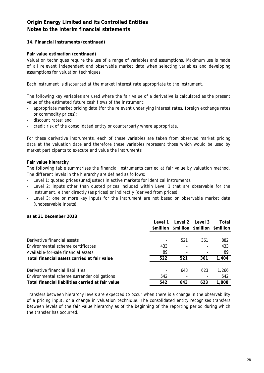# **14. Financial instruments (continued)**

### **Fair value estimation (continued)**

Valuation techniques require the use of a range of variables and assumptions. Maximum use is made of all relevant independent and observable market data when selecting variables and developing assumptions for valuation techniques.

Each instrument is discounted at the market interest rate appropriate to the instrument.

The following key variables are used where the fair value of a derivative is calculated as the present value of the estimated future cash flows of the instrument:

- appropriate market pricing data (for the relevant underlying interest rates, foreign exchange rates or commodity prices);
- discount rates; and
- credit risk of the consolidated entity or counterparty where appropriate.

For these derivative instruments, each of these variables are taken from observed market pricing data at the valuation date and therefore these variables represent those which would be used by market participants to execute and value the instruments.

### **Fair value hierarchy**

The following table summarises the financial instruments carried at fair value by valuation method. The different levels in the hierarchy are defined as follows:

- Level 1: quoted prices (unadjusted) in active markets for identical instruments.
- Level 2: inputs other than quoted prices included within Level 1 that are observable for the instrument, either directly (as prices) or indirectly (derived from prices).
- Level 3: one or more key inputs for the instrument are not based on observable market data (unobservable inputs).

### **as at 31 December 2013**

|                                                   | Level 1 | Level 2 | Level 3                                 | Total |
|---------------------------------------------------|---------|---------|-----------------------------------------|-------|
|                                                   |         |         | \$million \$million \$million \$million |       |
|                                                   |         |         |                                         |       |
| Derivative financial assets                       |         | 521     | 361                                     | 882   |
| Environmental scheme certificates                 | 433     |         |                                         | 433   |
| Available-for-sale financial assets               | 89      | ٠       |                                         | 89    |
| Total financial assets carried at fair value      | 522     | 521     | 361                                     | 1,404 |
| Derivative financial liabilities                  |         | 643     | 623                                     | 1,266 |
| Environmental scheme surrender obligations        | 542     |         |                                         | 542   |
| Total financial liabilities carried at fair value | 542     | 643     | 623                                     | 1,808 |

Transfers between hierarchy levels are expected to occur when there is a change in the observability of a pricing input, or a change in valuation technique. The consolidated entity recognises transfers between levels of the fair value hierarchy as of the beginning of the reporting period during which the transfer has occurred.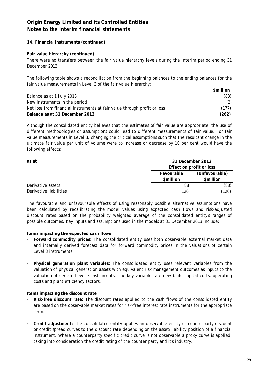### **14. Financial instruments (continued)**

### **Fair value hierarchy (continued)**

There were no transfers between the fair value hierarchy levels during the interim period ending 31 December 2013.

The following table shows a reconciliation from the beginning balances to the ending balances for the fair value measurements in Level 3 of the fair value hierarchy:

|                                                                          | \$million |
|--------------------------------------------------------------------------|-----------|
| Balance as at 1 July 2013                                                | (83)      |
| New instruments in the period                                            |           |
| Net loss from financial instruments at fair value through profit or loss | (177)     |
| Balance as at 31 December 2013                                           | (262)     |

Although the consolidated entity believes that the estimates of fair value are appropriate, the use of different methodologies or assumptions could lead to different measurements of fair value. For fair value measurements in Level 3, changing the critical assumptions such that the resultant change in the ultimate fair value per unit of volume were to increase or decrease by 10 per cent would have the following effects:

| as at                  |                          | 31 December 2013 |  |  |
|------------------------|--------------------------|------------------|--|--|
|                        | Effect on profit or loss |                  |  |  |
|                        | Favourable               | (Unfavourable)   |  |  |
|                        | \$million                | \$million        |  |  |
| Derivative assets      | 88                       | (88)             |  |  |
| Derivative liabilities | 120                      | (120)            |  |  |

The favourable and unfavourable effects of using reasonably possible alternative assumptions have been calculated by recalibrating the model values using expected cash flows and risk-adjusted discount rates based on the probability weighted average of the consolidated entity's ranges of possible outcomes. Key inputs and assumptions used in the models at 31 December 2013 include:

**Items impacting the expected cash flows**

- **Forward commodity prices:** The consolidated entity uses both observable external market data and internally derived forecast data for forward commodity prices in the valuations of certain Level 3 instruments.
- **Physical generation plant variables:** The consolidated entity uses relevant variables from the valuation of physical generation assets with equivalent risk management outcomes as inputs to the valuation of certain Level 3 instruments. The key variables are new build capital costs, operating costs and plant efficiency factors.

#### **Items impacting the discount rate**

- **Risk-free discount rate:** The discount rates applied to the cash flows of the consolidated entity are based on the observable market rates for risk-free interest rate instruments for the appropriate term.
- **Credit adjustment:** The consolidated entity applies an observable entity or counterparty discount or credit spread curves to the discount rate depending on the asset/liability position of a financial instrument. Where a counterparty specific credit curve is not observable a proxy curve is applied, taking into consideration the credit rating of the counter party and it's industry.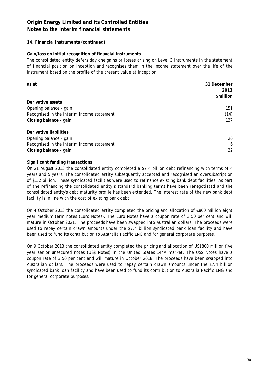# **14. Financial instruments (continued)**

### **Gain/loss on initial recognition of financial instruments**

The consolidated entity defers day one gains or losses arising on Level 3 instruments in the statement of financial position on inception and recognises them in the income statement over the life of the instrument based on the profile of the present value at inception.

| as at                                      | 31 December |  |
|--------------------------------------------|-------------|--|
|                                            | 2013        |  |
|                                            | \$million   |  |
| Derivative assets                          |             |  |
| Opening balance - gain                     | 151         |  |
| Recognised in the interim income statement | (14)        |  |
| Closing balance - gain                     | 137         |  |
| Derivative liabilities                     |             |  |
| Opening balance - gain                     | 26          |  |
| Recognised in the interim income statement | 6           |  |
| Closing balance - gain                     | 32          |  |

# **Significant funding transactions**

On 21 August 2013 the consolidated entity completed a \$7.4 billion debt refinancing with terms of 4 years and 5 years. The consolidated entity subsequently accepted and recognised an oversubscription of \$1.2 billion. These syndicated facilities were used to refinance existing bank debt facilities. As part of the refinancing the consolidated entity's standard banking terms have been renegotiated and the consolidated entity's debt maturity profile has been extended. The interest rate of the new bank debt facility is in line with the cost of existing bank debt.

On 4 October 2013 the consolidated entity completed the pricing and allocation of €800 million eight year medium term notes (Euro Notes). The Euro Notes have a coupon rate of 3.50 per cent and will mature in October 2021. The proceeds have been swapped into Australian dollars. The proceeds were used to repay certain drawn amounts under the \$7.4 billion syndicated bank loan facility and have been used to fund its contribution to Australia Pacific LNG and for general corporate purposes.

On 9 October 2013 the consolidated entity completed the pricing and allocation of US\$800 million five year senior unsecured notes (US\$ Notes) in the United States 144A market. The US\$ Notes have a coupon rate of 3.50 per cent and will mature in October 2018. The proceeds have been swapped into Australian dollars. The proceeds were used to repay certain drawn amounts under the \$7.4 billion syndicated bank loan facility and have been used to fund its contribution to Australia Pacific LNG and for general corporate purposes.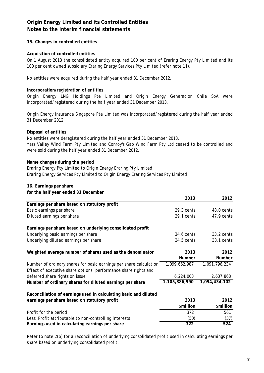# **15. Changes in controlled entities**

### **Acquisition of controlled entities**

On 1 August 2013 the consolidated entity acquired 100 per cent of Eraring Energy Pty Limited and its 100 per cent owned subsidiary Eraring Energy Services Pty Limited (refer note 11).

No entities were acquired during the half year ended 31 December 2012.

### **Incorporation/registration of entities**

Origin Energy LNG Holdings Pte Limited and Origin Energy Generacion Chile SpA were incorporated/registered during the half year ended 31 December 2013.

Origin Energy Insurance Singapore Pte Limited was incorporated/registered during the half year ended 31 December 2012.

### **Disposal of entities**

Yass Valley Wind Farm Pty Limited and Conroy's Gap Wind Farm Pty Ltd ceased to be controlled and were sold during the half year ended 31 December 2012. No entities were deregistered during the half year ended 31 December 2013.

### **Name changes during the period**

Eraring Energy Pty Limited to Origin Energy Eraring Pty Limited Eraring Energy Services Pty Limited to Origin Energy Eraring Services Pty Limited

### **16. Earnings per share**

**for the half year ended 31 December**

|                                                                    | 2013          | 2012          |
|--------------------------------------------------------------------|---------------|---------------|
| Earnings per share based on statutory profit                       |               |               |
| Basic earnings per share                                           | 29.3 cents    | 48.0 cents    |
| Diluted earnings per share                                         | 29.1 cents    | 47.9 cents    |
| Earnings per share based on underlying consolidated profit         |               |               |
| Underlying basic earnings per share                                | 34.6 cents    | 33.2 cents    |
| Underlying diluted earnings per share                              | 34.5 cents    | 33.1 cents    |
| Weighted average number of shares used as the denominator          | 2013          | 2012          |
|                                                                    | <b>Number</b> | Number        |
| Number of ordinary shares for basic earnings per share calculation | 1,099,662,987 | 1,091,796,234 |
| Effect of executive share options, performance share rights and    |               |               |
| deferred share rights on issue                                     | 6,224,003     | 2,637,868     |
| Number of ordinary shares for diluted earnings per share           | 1,105,886,990 | 1,094,434,102 |
| Reconciliation of earnings used in calculating basic and diluted   |               |               |
| earnings per share based on statutory profit                       | 2013          | 2012          |
|                                                                    | \$million     | \$million     |
| Profit for the period                                              | 372           | 561           |
| Less: Profit attributable to non-controlling interests             | (50)          | (37)          |
| Earnings used in calculating earnings per share                    | 322           | 524           |
|                                                                    |               |               |

Refer to note 2(b) for a reconciliation of underlying consolidated profit used in calculating earnings per share based on underlying consolidated profit.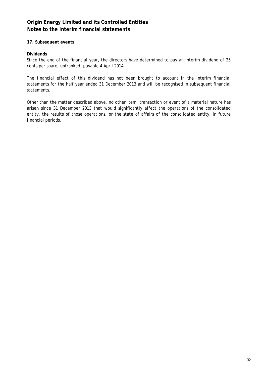### **17. Subsequent events**

### **Dividends**

Since the end of the financial year, the directors have determined to pay an interim dividend of 25 cents per share, unfranked, payable 4 April 2014.

The financial effect of this dividend has not been brought to account in the interim financial statements for the half year ended 31 December 2013 and will be recognised in subsequent financial statements.

Other than the matter described above, no other item, transaction or event of a material nature has arisen since 31 December 2013 that would significantly affect the operations of the consolidated entity, the results of those operations, or the state of affairs of the consolidated entity, in future financial periods.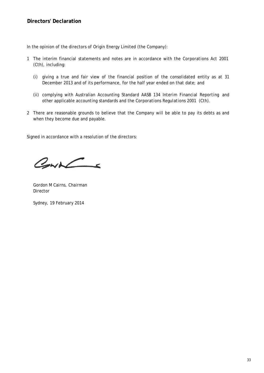In the opinion of the directors of Origin Energy Limited (the Company):

- 1 The interim financial statements and notes are in accordance with the *Corporations Act 2001* (Cth), including:
	- (i) giving a true and fair view of the financial position of the consolidated entity as at 31 December 2013 and of its performance, for the half year ended on that date; and
	- (ii) complying with Australian Accounting Standard AASB 134 *Interim Financial Reporting* and other applicable accounting standards and the *Corporations Regulations 2001* (Cth).
- 2 There are reasonable grounds to believe that the Company will be able to pay its debts as and when they become due and payable.

Signed in accordance with a resolution of the directors:

CONNE

Gordon M Cairns, Chairman *Director*

Sydney, 19 February 2014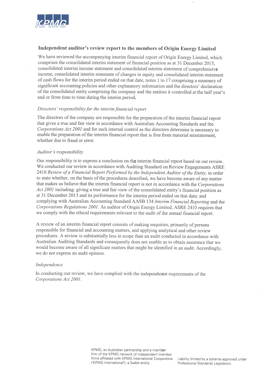

#### Independent auditor's review report to the members of Origin Energy Limited

We have reviewed the accompanying interim financial report of Origin Energy Limited, which comprises the consolidated interim statement of financial position as at 31 December 2013, consolidated interim income statement and consolidated interim statement of comprehensive income, consolidated interim statement of changes in equity and consolidated interim statement of cash flows for the interim period ended on that date, notes 1 to 17 comprising a summary of significant accounting policies and other explanatory information and the directors' declaration of the consolidated entity comprising the company and the entities it controlled at the half year's end or from time to time during the interim period.

#### Directors' responsibility for the interim financial report

The directors of the company are responsible for the preparation of the interim financial report that gives a true and fair view in accordance with Australian Accounting Standards and the Corporations Act 2001 and for such internal control as the directors determine is necessary to enable the preparation of the interim financial report that is free from material misstatement. whether due to fraud or error.

#### Auditor's responsibility

Our responsibility is to express a conclusion on the interim financial report based on our review. We conducted our review in accordance with Auditing Standard on Review Engagements ASRE 2410 Review of a Financial Report Performed by the Independent Auditor of the Entity, in order to state whether, on the basis of the procedures described, we have become aware of any matter that makes us believe that the interim financial report is not in accordance with the Corporations Act 2001 including: giving a true and fair view of the consolidated entity's financial position as at 31 December 2013 and its performance for the interim period ended on that date; and complying with Australian Accounting Standard AASB 134 Interim Financial Reporting and the Corporations Regulations 2001. As auditor of Origin Energy Limited, ASRE 2410 requires that we comply with the ethical requirements relevant to the audit of the annual financial report.

A review of an interim financial report consists of making enquiries, primarily of persons responsible for financial and accounting matters, and applying analytical and other review procedures. A review is substantially less in scope than an audit conducted in accordance with Australian Auditing Standards and consequently does not enable us to obtain assurance that we would become aware of all significant matters that might be identified in an audit. Accordingly, we do not express an audit opinion.

#### Independence

In conducting our review, we have complied with the independence requirements of the Corporations Act 2001.

> KPMG, an Australian partnership and a member firm of the KPMG network of independent member firms affiliated with KPMG International Cooperative ("KPMG International"), a Swiss entity.

Liability limited by a scheme approved under Professional Standards Legislation.